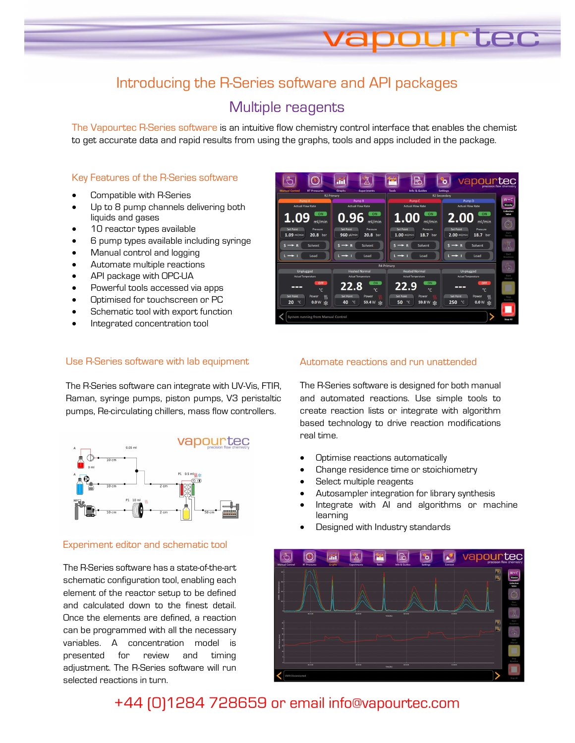## Introducing the R-Series software and API packages

## Multiple reagents

The Vapourtec R-Series software is an intuitive flow chemistry control interface that enables the chemist to get accurate data and rapid results from using the graphs, tools and apps included in the package.

#### Key Features of the R-Series software

- Compatible with R-Series
- Up to 8 pump channels delivering both liquids and gases
- 10 reactor types available
- 6 pump types available including syringe
- Manual control and logging
- Automate multiple reactions
- API package with OPC-UA
- Powerful tools accessed via apps
- Optimised for touchscreen or PC
- Schematic tool with export function
- Integrated concentration tool

### Use R-Series software with lab equipment

The R-Series software can integrate with UV-Vis, FTIR, Raman, syringe pumps, piston pumps, V3 peristaltic pumps, Re-circulating chillers, mass flow controllers.



#### Experiment editor and schematic tool

The R-Series software has a state-of-the-art schematic configuration tool, enabling each element of the reactor setup to be defined and calculated down to the finest detail. Once the elements are defined, a reaction can be programmed with all the necessary variables. A concentration model is presented for review and timing adjustment. The R-Series software will run selected reactions in turn.

| ი⊪ი<br><b>Manual Control</b><br><b>RT Pressures</b>                                                | 月<br>Mil<br><b>Graphs</b><br><b>Experiments</b> | t.<br><b>Tools</b><br><b>Info &amp; Guides</b>  | vapourtec<br>٥<br><b>Settings</b>                 | precision flow chemistr      |
|----------------------------------------------------------------------------------------------------|-------------------------------------------------|-------------------------------------------------|---------------------------------------------------|------------------------------|
| <b>R2 Primary</b>                                                                                  |                                                 | R2 Secondary                                    |                                                   |                              |
| Pump A                                                                                             | Pump <sub>B</sub>                               | Pump <sub>C</sub>                               | Pump <sub>D</sub>                                 | $W + C$                      |
| <b>Actual Flow Rate</b>                                                                            | <b>Actual Flow Rate</b>                         | <b>Actual Flow Rate</b>                         | <b>Actual Flow Rate</b>                           | Waste                        |
| ON<br>1.09<br>ml/min                                                                               | ON<br>0.96<br>ml/min                            | ON<br>1.00<br>ml/min                            | ON<br>2.00<br>ml/min                              | Collection<br>Valve<br>$\Xi$ |
| <b>Set Point</b><br>Pressure                                                                       | <b>Set Point</b><br>Pressure                    | Set Point<br>Pressure                           | <b>Set Point</b><br>Pressure                      | Start                        |
| 1.09 ml/min<br>20.8 bar                                                                            | 960 µl/min<br>20.8 bar                          | $1.00$ ml/min<br>18.7 bar                       | $2.00$ ml/min<br>18.7 bar                         | Timen                        |
| Solvent<br>$\rightarrow$<br>Load                                                                   | Solvent<br>Load                                 | Solvent<br>$\rightarrow$<br>$\mapsto$ 1<br>Load | Solvent<br>$S \rightarrow R$<br>$\mapsto$<br>Load | 小<br>Start<br>Reactions      |
|                                                                                                    |                                                 |                                                 |                                                   |                              |
| <b>R4 Primary</b><br>Unplugged<br><b>Heated Normal</b><br><b>Heated Normal</b><br><b>Unplugged</b> |                                                 |                                                 |                                                   | $\zeta_{\rm p}$              |
| <b>Actual Temperature</b>                                                                          | Actual Temperature                              | <b>Actual Temperature</b>                       | <b>Actual Temperature</b>                         | Start                        |
| OFF                                                                                                | ON                                              | ON                                              | OFF                                               | Marvual                      |
| ---                                                                                                | 22.8                                            | 22.9                                            | ---                                               |                              |
| ۰c                                                                                                 | $\mathcal{C}$                                   | $\mathcal{C}$                                   | $\mathcal{C}$                                     |                              |
| <b>Set Point</b><br>$\frac{1}{2}$<br>Power                                                         | Set Point<br>Power                              | Set Point<br>Power                              | <b>Set Point</b><br>Power<br><b>SSS</b>           | Stop<br>Reaction             |
| 20<br>$^{\circ}$ C<br>0.0W<br>柒                                                                    | 40<br>°C<br>59.4 W ※                            | $^{\circ}$ c<br>50<br>59.8 W ※                  | 250<br>°C<br>0.0W<br>*                            |                              |
| <b>System running from Manual Control</b>                                                          |                                                 |                                                 |                                                   | Stop All                     |

**urtec** 

#### Automate reactions and run unattended

The R-Series software is designed for both manual and automated reactions. Use simple tools to create reaction lists or integrate with algorithm based technology to drive reaction modifications real time.

- Optimise reactions automatically
- Change residence time or stoichiometry
- Select multiple reagents
- Autosampler integration for library synthesis
- Integrate with AI and algorithms or machine learning
- Designed with Industry standards



+44 (0)1284 728659 or email info@vapourtec.com